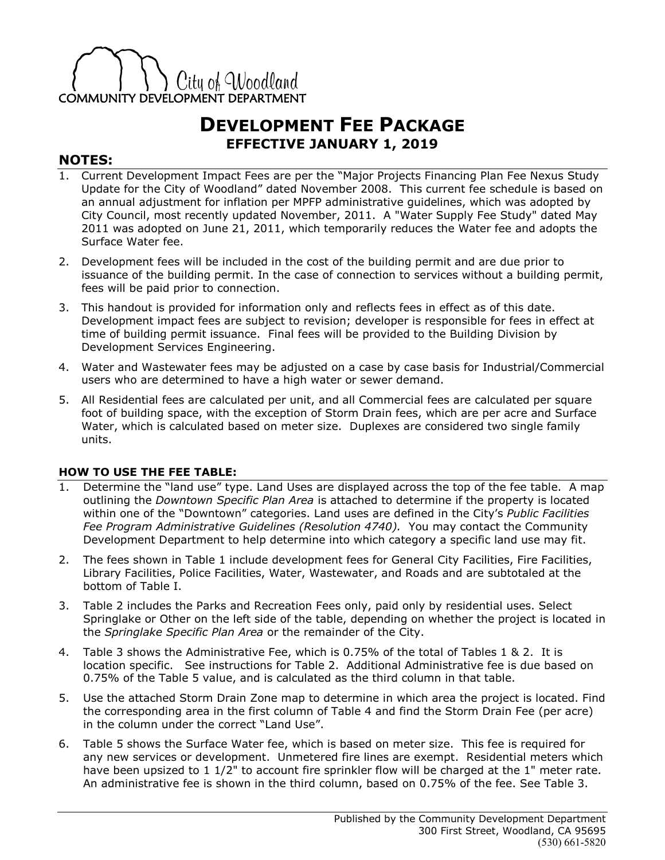

## **DEVELOPMENT FEE PACKAGE EFFECTIVE JANUARY 1, 2019**

## **NOTES:**

- 1. Current Development Impact Fees are per the "Major Projects Financing Plan Fee Nexus Study Update for the City of Woodland" dated November 2008. This current fee schedule is based on an annual adjustment for inflation per MPFP administrative guidelines, which was adopted by City Council, most recently updated November, 2011. A "Water Supply Fee Study" dated May 2011 was adopted on June 21, 2011, which temporarily reduces the Water fee and adopts the Surface Water fee.
- 2. Development fees will be included in the cost of the building permit and are due prior to issuance of the building permit. In the case of connection to services without a building permit, fees will be paid prior to connection.
- 3. This handout is provided for information only and reflects fees in effect as of this date. Development impact fees are subject to revision; developer is responsible for fees in effect at time of building permit issuance. Final fees will be provided to the Building Division by Development Services Engineering.
- 4. Water and Wastewater fees may be adjusted on a case by case basis for Industrial/Commercial users who are determined to have a high water or sewer demand.
- 5. All Residential fees are calculated per unit, and all Commercial fees are calculated per square foot of building space, with the exception of Storm Drain fees, which are per acre and Surface Water, which is calculated based on meter size. Duplexes are considered two single family units.

## **HOW TO USE THE FEE TABLE:**

- 1. Determine the "land use" type. Land Uses are displayed across the top of the fee table. A map outlining the *Downtown Specific Plan Area* is attached to determine if the property is located within one of the "Downtown" categories. Land uses are defined in the City's *Public Facilities*  Fee Program Administrative Guidelines (Resolution 4740). You may contact the Community Development Department to help determine into which category a specific land use may fit.
- 2. The fees shown in Table 1 include development fees for General City Facilities, Fire Facilities, Library Facilities, Police Facilities, Water, Wastewater, and Roads and are subtotaled at the bottom of Table I.
- 3. Table 2 includes the Parks and Recreation Fees only, paid only by residential uses. Select Springlake or Other on the left side of the table, depending on whether the project is located in the *Springlake Specific Plan Area* or the remainder of the City.
- 4. Table 3 shows the Administrative Fee, which is 0.75% of the total of Tables 1 & 2. It is location specific. See instructions for Table 2. Additional Administrative fee is due based on 0.75% of the Table 5 value, and is calculated as the third column in that table.
- 5. Use the attached Storm Drain Zone map to determine in which area the project is located. Find the corresponding area in the first column of Table 4 and find the Storm Drain Fee (per acre) in the column under the correct "Land Use".
- 6. Table 5 shows the Surface Water fee, which is based on meter size. This fee is required for any new services or development. Unmetered fire lines are exempt. Residential meters which have been upsized to 1 1/2" to account fire sprinkler flow will be charged at the 1" meter rate. An administrative fee is shown in the third column, based on 0.75% of the fee. See Table 3.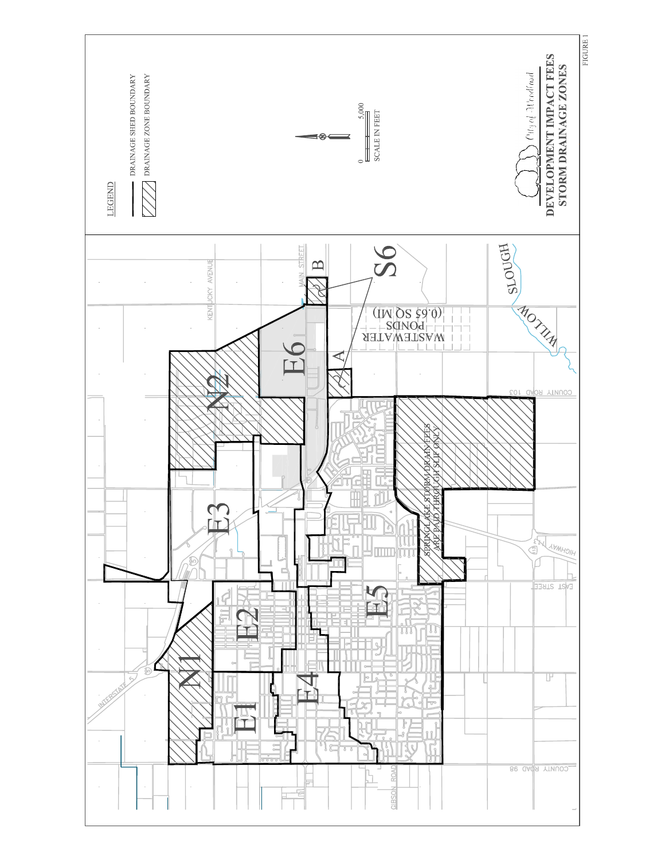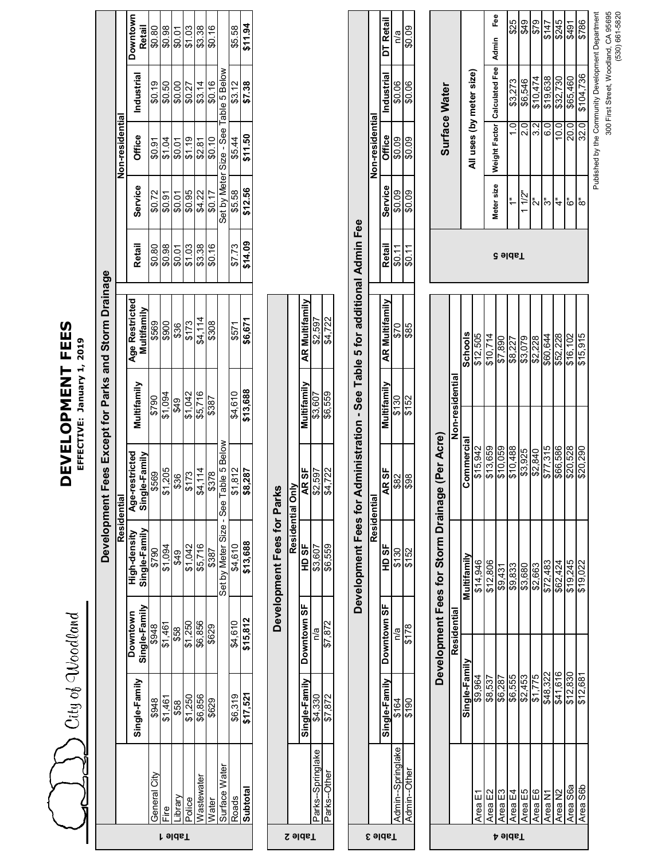| Voodland      |        |
|---------------|--------|
|               |        |
| $\frac{5}{2}$ |        |
|               |        |
|               |        |
|               | i<br>S |
|               |        |

## DEVELOPMENT FEES **DEVELOPMENT FEES**

**EFFECTIVE: January 1, 2019**

|                                                        |                 | Downtown<br><b>Retail</b><br>Industrial        | \$0.80<br>\$0.19 | \$0.98<br>\$0.50 | \$0.01<br>\$0.00 | \$1.03<br>\$0.27 | \$3.38<br>\$3.14 | \$0.16<br>\$0.16 |                                         | \$5.58<br>\$3.12 | \$11.94<br>\$7.38 |
|--------------------------------------------------------|-----------------|------------------------------------------------|------------------|------------------|------------------|------------------|------------------|------------------|-----------------------------------------|------------------|-------------------|
|                                                        | Non-residential | Office                                         | \$0.91           | \$1.04           | \$0.01           | \$1.19           | \$2.81           | \$0.10           | Set by Meter Size - See Table 5 Below   | \$5.44           | \$11.50           |
|                                                        |                 | Service                                        | \$0.72           | \$0.91           | \$0.01           | \$0.95           | \$4.22           | \$0.17           |                                         | \$5.58           | \$12.56           |
| Fees Except for Parks and Storm Drainage<br>Developmen |                 | Retail                                         | \$0.80           | \$0.98           | \$0.01           | \$1.03           | \$3.38           | \$0.16           |                                         | \$7.73           | \$14.09           |
|                                                        |                 | Age Restricted<br>Multifamily                  | \$569            | \$900            | \$36             | \$173            | \$4,114          | \$308            | able 5 Below<br>Set by Meter Size - See | \$571            | \$6,671           |
|                                                        |                 | Aultifamily                                    | \$790            | \$1,094          | \$49             | \$1,042          | \$5,716          | \$387            |                                         | \$4,610          | \$13,688          |
|                                                        |                 | -restricted<br>Age-restricted<br>Single-Family | \$569            | \$1,205          | \$36             | \$173            | \$4,114          | \$378            |                                         | \$1,812          | \$8,287           |
|                                                        | Residential     | High-density<br>Single-Family                  | \$790            | \$1,094          | \$49             | \$1,042          | \$5,716          | \$387            |                                         | \$4,610          | \$13,688          |
|                                                        |                 | Single-Family<br>Downtown                      | \$948            | \$1,461          | \$58             | \$1,250          | \$6,856          | \$629            |                                         | \$4,610          | \$15,812          |
|                                                        |                 | Single-Family                                  | \$948            | \$1,461          | \$58             | \$1,250          | \$6,856          | \$629            |                                         | \$6,319          | \$17,521          |
|                                                        |                 |                                                | General City     | -ire             | brary            | olice            | /astewater       | Vater            | Surface Water                           | Roads            | Subtotal          |

| Z             |                  |             |                             | Development Fees for Parks |                  |                         |                    |
|---------------|------------------|-------------|-----------------------------|----------------------------|------------------|-------------------------|--------------------|
|               |                  |             |                             |                            | Residential Only |                         |                    |
| <u>əlds T</u> |                  |             | single-Family   Downtown SF | HD SF                      | AR SF            | Multifamil <sup>y</sup> | <b>Aultifamily</b> |
|               | arks--Springlake | 4.330       | n⁄a                         | \$3,607                    | \$2.597          | \$3.607                 | \$2.597            |
|               | arks--Other      | <b>CL84</b> | \$7.872                     | \$6.559                    | 4.722            | \$6.559                 | <b>34.722</b>      |

|                                                                                  |                        | DT Retail        | ร<br>คี                  | \$0.09       |
|----------------------------------------------------------------------------------|------------------------|------------------|--------------------------|--------------|
|                                                                                  |                        |                  |                          |              |
|                                                                                  |                        | Industrial       | \$0.06                   | \$0.06       |
|                                                                                  | <b>Non-residential</b> | <b>Office</b>    | \$0.09                   | \$0.09       |
|                                                                                  |                        | Service          | \$0.09                   | \$0.09       |
|                                                                                  |                        | Retail           | \$0.11                   | \$0.11       |
| dministration - See Table 5 for additional Admin Fee<br>⋖<br>evelopment Fees for |                        |                  |                          |              |
|                                                                                  |                        |                  | 670                      | \$85         |
|                                                                                  |                        | <b>Jultifami</b> | \$130                    | \$152        |
|                                                                                  |                        | R SF<br>L        | \$82                     | \$98         |
|                                                                                  | Residential            | 5<br>10          | $\frac{50}{2}$           | ιδ,          |
|                                                                                  |                        | owntown SF       | ត្ត<br>١                 | くうこ          |
|                                                                                  |                        |                  |                          |              |
|                                                                                  |                        |                  | lake<br>·· hmin-Sprincic | මි<br>dmin-C |
| E                                                                                |                        | Table            |                          |              |

| <b>Surface Water</b>                           |                 |                | All uses (by meter size) | Fee      | Weight Factor   Calculated Fee   Admin | \$25<br>\$3.273<br>$\frac{0}{1}$ | \$49<br>\$6,546<br>2.0 | \$79<br>\$10,474<br><u>ვუ</u> | \$147<br>\$19,638<br>6.0 | \$245<br>\$32,730<br>10.0 | \$491<br>\$65,460<br>20.0 | \$786<br>\$104,736<br>32.0 | Published by the Community Development Department | 300 First Street, Woodland, CA 95695 | $(530) 661 - 5820$ |
|------------------------------------------------|-----------------|----------------|--------------------------|----------|----------------------------------------|----------------------------------|------------------------|-------------------------------|--------------------------|---------------------------|---------------------------|----------------------------|---------------------------------------------------|--------------------------------------|--------------------|
|                                                |                 |                |                          |          | Meter size                             | ŗ.                               | $11/2$ "               | ั้ง                           | స్                       | $\ddot{ }$                | ۊ                         | ္လ                         |                                                   |                                      |                    |
| <b>eldsT</b>                                   |                 |                |                          |          |                                        |                                  |                        |                               |                          |                           |                           |                            |                                                   |                                      |                    |
|                                                |                 | <b>Schools</b> | \$12.505                 | \$10,714 | \$7,890                                | \$8,227                          | \$3,079                | \$2,228                       | \$60,644                 | \$52,228                  | \$16,102                  | \$15,915                   |                                                   |                                      |                    |
|                                                | Non-residential | Commercial     | \$15,942                 | \$13,659 | \$10,059                               | \$10,488                         | \$3,925                | \$2,840                       | \$77,315                 | \$66.586                  | \$20,528                  | \$20,290                   |                                                   |                                      |                    |
| Development Fees for Storm Drainage (Per Acre) |                 | Multifamily    | \$14,946                 | \$12,806 | \$9,431                                | \$9,833                          | \$3,680                | \$2,663                       | \$72,483                 | \$62,424                  | \$19,245                  | \$19,022                   |                                                   |                                      |                    |
|                                                | Residential     | Single-Family  | \$9,964                  | \$8,537  | \$6.287                                | \$6,555                          | \$2,453                | \$1,775                       | \$48,322                 | \$41,616                  | \$12,830                  | \$12,681                   |                                                   |                                      |                    |
|                                                |                 |                | Area E1                  | Area E2  | <b>Trea E3</b>                         | Tea E4<br>əldsT                  | Tea E5                 | Area E6                       | Area N1                  | Area N2                   | Area S6a                  | Area S6b                   |                                                   |                                      |                    |